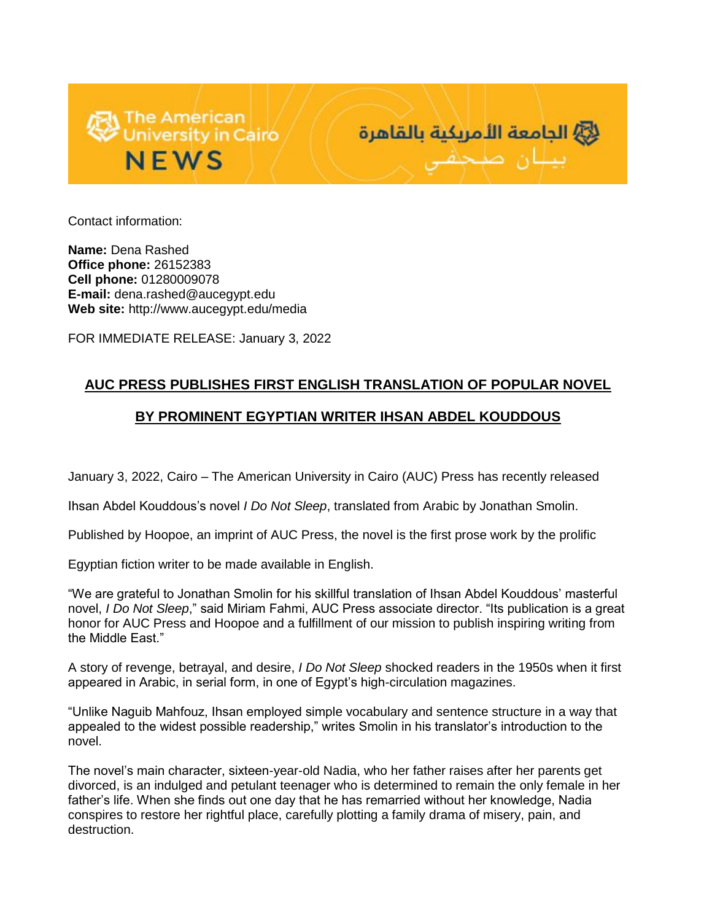



Contact information:

**Name:** Dena Rashed **Office phone:** 26152383 **Cell phone:** 01280009078 **E-mail:** dena.rashed@aucegypt.edu **Web site:** http://www.aucegypt.edu/media

FOR IMMEDIATE RELEASE: January 3, 2022

## **AUC PRESS PUBLISHES FIRST ENGLISH TRANSLATION OF POPULAR NOVEL**

## **BY PROMINENT EGYPTIAN WRITER IHSAN ABDEL KOUDDOUS**

January 3, 2022, Cairo – The American University in Cairo (AUC) Press has recently released

Ihsan Abdel Kouddous's novel *I Do Not Sleep*, translated from Arabic by Jonathan Smolin.

Published by Hoopoe, an imprint of AUC Press, the novel is the first prose work by the prolific

Egyptian fiction writer to be made available in English.

"We are grateful to Jonathan Smolin for his skillful translation of Ihsan Abdel Kouddous' masterful novel, *I Do Not Sleep*," said Miriam Fahmi, AUC Press associate director. "Its publication is a great honor for AUC Press and Hoopoe and a fulfillment of our mission to publish inspiring writing from the Middle East."

A story of revenge, betrayal, and desire, *I Do Not Sleep* shocked readers in the 1950s when it first appeared in Arabic, in serial form, in one of Egypt's high-circulation magazines.

"Unlike Naguib Mahfouz, Ihsan employed simple vocabulary and sentence structure in a way that appealed to the widest possible readership," writes Smolin in his translator's introduction to the novel.

The novel's main character, sixteen-year-old Nadia, who her father raises after her parents get divorced, is an indulged and petulant teenager who is determined to remain the only female in her father's life. When she finds out one day that he has remarried without her knowledge, Nadia conspires to restore her rightful place, carefully plotting a family drama of misery, pain, and destruction.